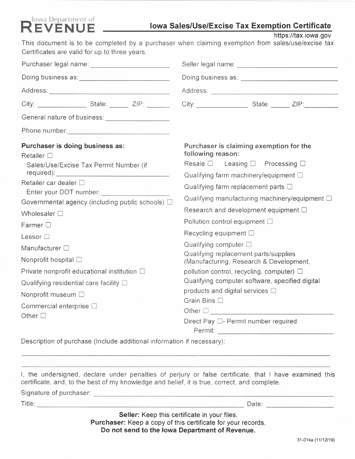# **Reference Iowa Department of Lionaries Correspond Corresponding Lionary Sales/Use/Excise Tax Exemption Certificate**

**https://tax.iowa.gov** 

This document is to be completed by a purchaser when claiming exemption from sales/use/excise **tax.**  Certificates are valid for up to three years.

|                                                                                                                                                                                                                                                                                                                                                                                                                                                                                              | City: State: 2IP:                                                                                                                                                                                                                                                                                                                                                                                                                                                                                                                                                                                                                                                                                                                                                            |
|----------------------------------------------------------------------------------------------------------------------------------------------------------------------------------------------------------------------------------------------------------------------------------------------------------------------------------------------------------------------------------------------------------------------------------------------------------------------------------------------|------------------------------------------------------------------------------------------------------------------------------------------------------------------------------------------------------------------------------------------------------------------------------------------------------------------------------------------------------------------------------------------------------------------------------------------------------------------------------------------------------------------------------------------------------------------------------------------------------------------------------------------------------------------------------------------------------------------------------------------------------------------------------|
|                                                                                                                                                                                                                                                                                                                                                                                                                                                                                              |                                                                                                                                                                                                                                                                                                                                                                                                                                                                                                                                                                                                                                                                                                                                                                              |
|                                                                                                                                                                                                                                                                                                                                                                                                                                                                                              |                                                                                                                                                                                                                                                                                                                                                                                                                                                                                                                                                                                                                                                                                                                                                                              |
| Purchaser is doing business as:<br><b>Retailer</b> □<br>Sales/Use/Excise Tax Permit Number (if<br>Retailer car dealer □<br>Governmental agency (including public schools) $\Box$<br>Wholesaler $\square$<br>Farmer $\Box$<br>Lessor <sup>[]</sup><br>Manufacturer <sup>[]</sup><br>Nonprofit hospital □<br>Private nonprofit educational institution □<br>Qualifying residential care facility $\square$<br>Nonprofit museum $\square$<br>Commercial enterprise $\square$<br>Other $\square$ | Purchaser is claiming exemption for the<br>following reason:<br>Resale $\square$ Leasing $\square$ Processing $\square$<br>Qualifying farm machinery/equipment $\square$<br>Qualifying farm replacement parts $\square$<br>Qualifying manufacturing machinery/equipment $\Box$<br>Research and development equipment $\square$<br>Pollution control equipment $\square$<br>Recycling equipment $\square$<br>Qualifying computer $\square$<br>Qualifying replacement parts/supplies<br>(Manufacturing, Research & Development,<br>pollution control, recycling, computer) $\square$<br>Qualifying computer software, specified digital<br>products and digital services $\square$<br>Grain Bins $\square$<br>Other <u>D</u><br>Direct Pay $\square$ - Permit number required: |

Description of purchase (Include additional information if necessary):

I, the undersigned, declare under penalties of perjury or false certificate, that I have examined this certificate, and, to the best of my knowledge and belief, it is true, correct, and complete.

Signature of purchaser: -------------------------------

Tit I e: Date:

**Seller:** Keep this certificate in your files. **Purchaser:** Keep a copy of this certificate for your records. **Do not send to the Iowa Department of Revenue.**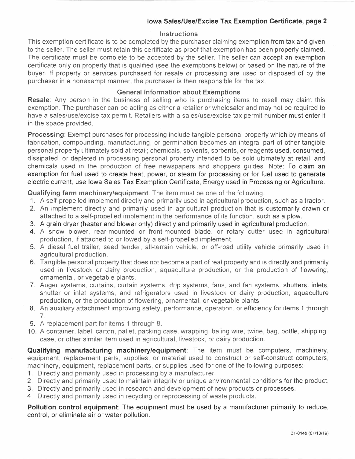## **Iowa Sales/Use/Excise Tax Exemption Certificate, page 2**

#### **Instructions**

This exemption certificate is to be completed by the purchaser claiming exemption from tax and given to the seller. The seller must retain this certificate as proof that exemption has been properly claimed. The certificate must be complete to be accepted by the seller. The seller can accept an exemption certificate only on property that is qualified (see the exemptions below) or based on the nature of the buyer. If property or services purchased for resale or processing are used or disposed of by the purchaser in a nonexempt manner, the purchaser is then responsible for the tax.

### **General Information about Exemptions**

**Resale:** Any person in the business of selling who is purchasing items to resell may claim this exemption. The purchaser can be acting as either a retailer or wholesaler and may not be required to have a sales/use/excise tax permit. Retailers with a sales/use/excise tax permit number must enter it in the space provided.

**Processing:** Exempt purchases for processing include tangible personal property which by means of fabrication, compounding, manufacturing, or germination becomes an integral part of other tangible personal property ultimately sold at retail; chemicals, solvents, sorbents, or reagents used, consumed, dissipated, or depleted in processing personal property intended to be sold ultimately at retail, and chemicals used in the production of free newspapers and shoppers guides. Note: To claim an exemption for fuel used to create heat, power, or steam for processing or for fuel used to generate electric current, use Iowa Sales Tax Exemption Certificate, Energy used in Processing or Agriculture.

**Qualifying farm machinery/equipment:** The item must be one of the following:

- 1. A self-propelled implement directly and primarily used in agricultural production, such as a tractor.
- 2. An implement directly and primarily used in agricultural production that is customarily drawn or attached to a self-propelled implement in the performance of its function, such as a plow.
- 3. A grain dryer (heater and blower only) directly and primarily used in agricultural production.
- **4.** A snow blower, rear-mounted or front-mounted blade, or rotary cutter used in agricultural production, if attached to or towed by a self-propelled implement.<br>5. A diesel fuel trailer, seed tender, all-terrain vehicle, or off-road utility vehicle primarily used in
- agricultural production.
- 6. Tangible personal property that does not become a part of real property and is directly and primarily used in livestock or dairy production, aquaculture production, or the production of flowering, ornamental, or vegetable plants.
- 7. Auger systems, curtains, curtain systems, drip systems, fans, and fan systems, shutters, inlets, shutter or inlet systems, and refrigerators used in livestock or dairy production, aquaculture production, or the production of flowering, ornamental, or vegetable plants.
- 8. An auxiliary attachment improving safety, performance, operation, or efficiency for items 1 through 7.
- 9. A replacement part for items 1 through 8.
- 10. A container, label, carton, pallet, packing case, wrapping, baling wire, twine, bag, bottle, shipping case, or other similar item used in agricultural, livestock, or dairy production.

**Qualifying manufacturing machinery/equipment:** The item must be computers, machinery, equipment, replacement parts, supplies, or material used to construct or self-construct computers, machinery, equipment, replacement parts, or supplies used for one of the following purposes:

- 1. Directly and primarily used in processing by a manufacturer.
- 2. Directly and primarily used to maintain integrity or unique environmental conditions for the product.
- 3. Directly and primarily used in research and development of new products or processes.
- **4.** Directly and primarily used in recycling or reprocessing of waste products.

**Pollution control equipment:** The equipment must be used by a manufacturer primarily to reduce, control, or eliminate air or water pollution.